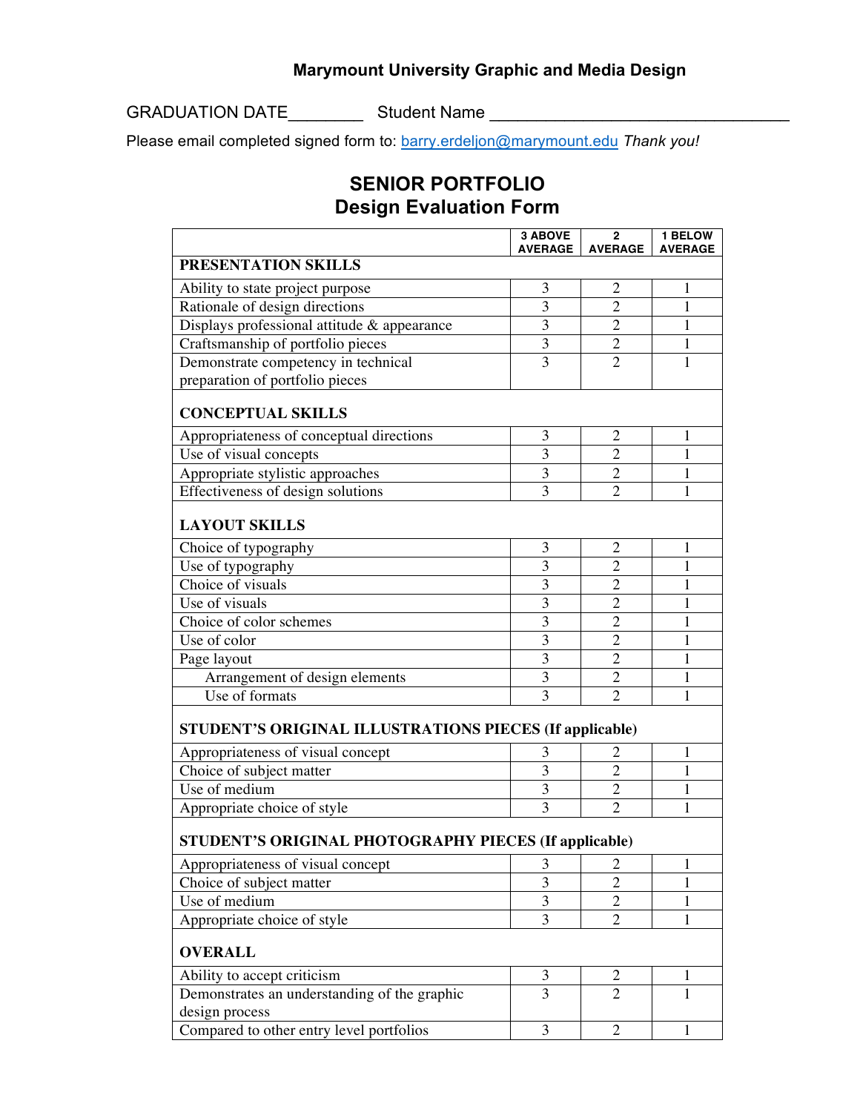## **Marymount University Graphic and Media Design**

GRADUATION DATE\_\_\_\_\_\_\_\_ Student Name \_\_\_\_\_\_\_\_\_\_\_\_\_\_\_\_\_\_\_\_\_\_\_\_\_\_\_\_\_\_\_\_

Please email completed signed form to: barry.erdeljon@marymount.edu *Thank you!* 

## **SENIOR PORTFOLIO Design Evaluation Form**

|                                                                | <b>3 ABOVE</b><br><b>AVERAGE</b> | $\mathbf{2}$<br><b>AVERAGE</b> | 1 BELOW<br><b>AVERAGE</b> |
|----------------------------------------------------------------|----------------------------------|--------------------------------|---------------------------|
| PRESENTATION SKILLS                                            |                                  |                                |                           |
| Ability to state project purpose                               | 3                                | $\overline{2}$                 | 1                         |
| Rationale of design directions                                 | 3                                | $\overline{2}$                 | 1                         |
| Displays professional attitude & appearance                    | 3                                | $\overline{2}$                 | 1                         |
| Craftsmanship of portfolio pieces                              | 3                                | $\overline{2}$                 | 1                         |
| Demonstrate competency in technical                            | $\overline{3}$                   | $\overline{2}$                 | $\mathbf{1}$              |
| preparation of portfolio pieces                                |                                  |                                |                           |
| <b>CONCEPTUAL SKILLS</b>                                       |                                  |                                |                           |
| Appropriateness of conceptual directions                       | 3                                | $\overline{2}$                 | 1                         |
| Use of visual concepts                                         | 3                                | $\overline{2}$                 | 1                         |
| Appropriate stylistic approaches                               | $\overline{3}$                   | $\overline{2}$                 | 1                         |
| Effectiveness of design solutions                              | 3                                | $\overline{2}$                 | 1                         |
| <b>LAYOUT SKILLS</b>                                           |                                  |                                |                           |
| Choice of typography                                           | 3                                | $\overline{2}$                 | 1                         |
| Use of typography                                              | $\overline{3}$                   | $\overline{2}$                 | $\mathbf{1}$              |
| Choice of visuals                                              | 3                                | $\overline{2}$                 | 1                         |
| Use of visuals                                                 | 3                                | $\overline{2}$                 | 1                         |
| Choice of color schemes                                        | 3                                | $\overline{2}$                 | 1                         |
| Use of color                                                   | 3                                | $\overline{2}$                 | $\mathbf{1}$              |
| Page layout                                                    | $\overline{3}$                   | $\overline{2}$                 | 1                         |
| Arrangement of design elements                                 | 3                                | $\overline{2}$                 | 1                         |
| Use of formats                                                 | $\overline{3}$                   | $\overline{2}$                 | $\mathbf{1}$              |
| STUDENT'S ORIGINAL ILLUSTRATIONS PIECES (If applicable)        |                                  |                                |                           |
| Appropriateness of visual concept                              | 3                                | $\overline{2}$                 | 1                         |
| Choice of subject matter                                       | 3                                | $\overline{2}$                 | 1                         |
| Use of medium                                                  | $\overline{3}$                   | $\overline{2}$                 | 1                         |
| Appropriate choice of style                                    | 3                                | $\overline{2}$                 | 1                         |
| <b>STUDENT'S ORIGINAL PHOTOGRAPHY PIECES (If applicable)</b>   |                                  |                                |                           |
| Appropriateness of visual concept                              | 3                                | $\overline{c}$                 | 1                         |
| Choice of subject matter                                       | 3                                | $\overline{2}$                 | 1                         |
| Use of medium                                                  | 3                                | $\overline{2}$                 | 1                         |
| Appropriate choice of style                                    | $\overline{3}$                   | $\overline{2}$                 | 1                         |
| <b>OVERALL</b>                                                 |                                  |                                |                           |
| Ability to accept criticism                                    | 3                                | 2                              | 1                         |
| Demonstrates an understanding of the graphic<br>design process | 3                                | $\overline{2}$                 | 1                         |
| Compared to other entry level portfolios                       | 3                                | $\overline{2}$                 | 1                         |